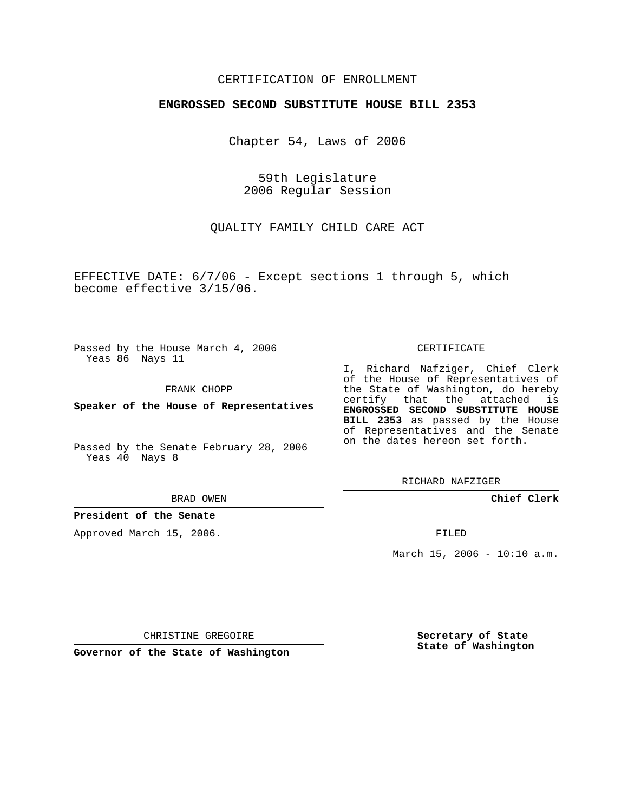## CERTIFICATION OF ENROLLMENT

#### **ENGROSSED SECOND SUBSTITUTE HOUSE BILL 2353**

Chapter 54, Laws of 2006

59th Legislature 2006 Regular Session

QUALITY FAMILY CHILD CARE ACT

EFFECTIVE DATE: 6/7/06 - Except sections 1 through 5, which become effective 3/15/06.

Passed by the House March 4, 2006 Yeas 86 Nays 11

FRANK CHOPP

**Speaker of the House of Representatives**

Passed by the Senate February 28, 2006 Yeas 40 Nays 8

BRAD OWEN

**President of the Senate**

Approved March 15, 2006.

CERTIFICATE

I, Richard Nafziger, Chief Clerk of the House of Representatives of the State of Washington, do hereby certify that the attached is **ENGROSSED SECOND SUBSTITUTE HOUSE BILL 2353** as passed by the House of Representatives and the Senate on the dates hereon set forth.

RICHARD NAFZIGER

**Chief Clerk**

FILED

March 15, 2006 - 10:10 a.m.

CHRISTINE GREGOIRE

**Governor of the State of Washington**

**Secretary of State State of Washington**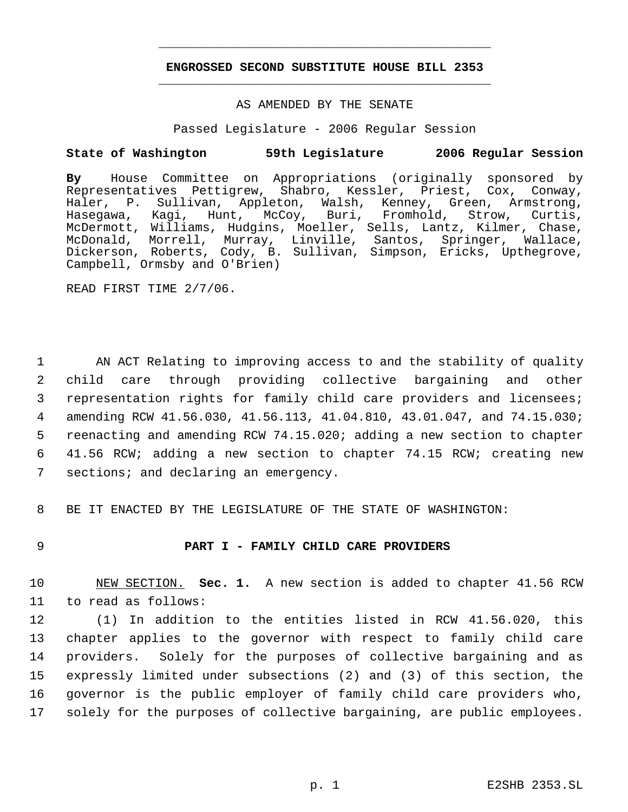# **ENGROSSED SECOND SUBSTITUTE HOUSE BILL 2353** \_\_\_\_\_\_\_\_\_\_\_\_\_\_\_\_\_\_\_\_\_\_\_\_\_\_\_\_\_\_\_\_\_\_\_\_\_\_\_\_\_\_\_\_\_

\_\_\_\_\_\_\_\_\_\_\_\_\_\_\_\_\_\_\_\_\_\_\_\_\_\_\_\_\_\_\_\_\_\_\_\_\_\_\_\_\_\_\_\_\_

### AS AMENDED BY THE SENATE

Passed Legislature - 2006 Regular Session

### **State of Washington 59th Legislature 2006 Regular Session**

**By** House Committee on Appropriations (originally sponsored by Representatives Pettigrew, Shabro, Kessler, Priest, Cox, Conway, Haler, P. Sullivan, Appleton, Walsh, Kenney, Green, Armstrong, Hasegawa, Kagi, Hunt, McCoy, Buri, Fromhold, Strow, Curtis, McDermott, Williams, Hudgins, Moeller, Sells, Lantz, Kilmer, Chase, McDonald, Morrell, Murray, Linville, Santos, Springer, Wallace, Dickerson, Roberts, Cody, B. Sullivan, Simpson, Ericks, Upthegrove, Campbell, Ormsby and O'Brien)

READ FIRST TIME 2/7/06.

 AN ACT Relating to improving access to and the stability of quality child care through providing collective bargaining and other representation rights for family child care providers and licensees; amending RCW 41.56.030, 41.56.113, 41.04.810, 43.01.047, and 74.15.030; reenacting and amending RCW 74.15.020; adding a new section to chapter 41.56 RCW; adding a new section to chapter 74.15 RCW; creating new 7 sections; and declaring an emergency.

8 BE IT ENACTED BY THE LEGISLATURE OF THE STATE OF WASHINGTON:

#### 9 **PART I - FAMILY CHILD CARE PROVIDERS**

10 NEW SECTION. **Sec. 1.** A new section is added to chapter 41.56 RCW 11 to read as follows:

 (1) In addition to the entities listed in RCW 41.56.020, this chapter applies to the governor with respect to family child care providers. Solely for the purposes of collective bargaining and as expressly limited under subsections (2) and (3) of this section, the governor is the public employer of family child care providers who, solely for the purposes of collective bargaining, are public employees.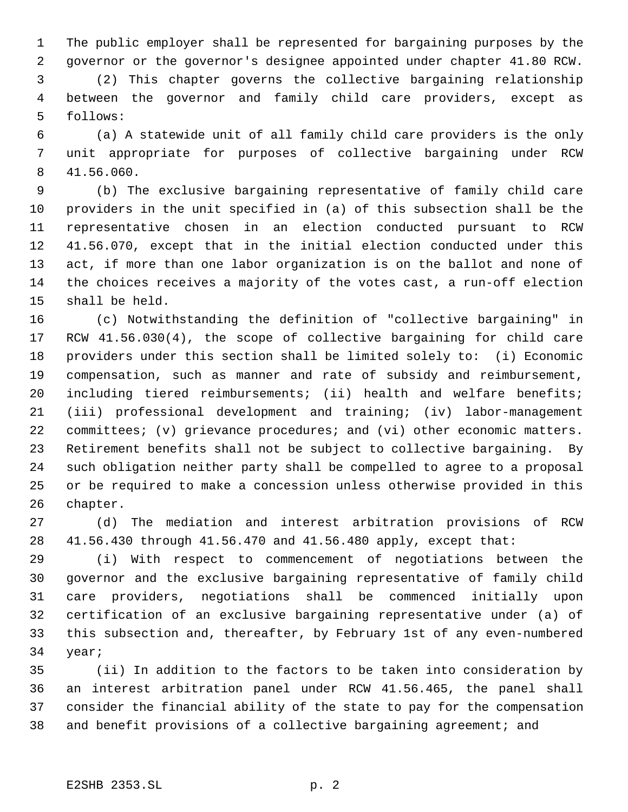The public employer shall be represented for bargaining purposes by the governor or the governor's designee appointed under chapter 41.80 RCW.

 (2) This chapter governs the collective bargaining relationship between the governor and family child care providers, except as follows:

 (a) A statewide unit of all family child care providers is the only unit appropriate for purposes of collective bargaining under RCW 41.56.060.

 (b) The exclusive bargaining representative of family child care providers in the unit specified in (a) of this subsection shall be the representative chosen in an election conducted pursuant to RCW 41.56.070, except that in the initial election conducted under this act, if more than one labor organization is on the ballot and none of the choices receives a majority of the votes cast, a run-off election shall be held.

 (c) Notwithstanding the definition of "collective bargaining" in RCW 41.56.030(4), the scope of collective bargaining for child care providers under this section shall be limited solely to: (i) Economic compensation, such as manner and rate of subsidy and reimbursement, including tiered reimbursements; (ii) health and welfare benefits; (iii) professional development and training; (iv) labor-management committees; (v) grievance procedures; and (vi) other economic matters. Retirement benefits shall not be subject to collective bargaining. By such obligation neither party shall be compelled to agree to a proposal or be required to make a concession unless otherwise provided in this chapter.

 (d) The mediation and interest arbitration provisions of RCW 41.56.430 through 41.56.470 and 41.56.480 apply, except that:

 (i) With respect to commencement of negotiations between the governor and the exclusive bargaining representative of family child care providers, negotiations shall be commenced initially upon certification of an exclusive bargaining representative under (a) of this subsection and, thereafter, by February 1st of any even-numbered year;

 (ii) In addition to the factors to be taken into consideration by an interest arbitration panel under RCW 41.56.465, the panel shall consider the financial ability of the state to pay for the compensation and benefit provisions of a collective bargaining agreement; and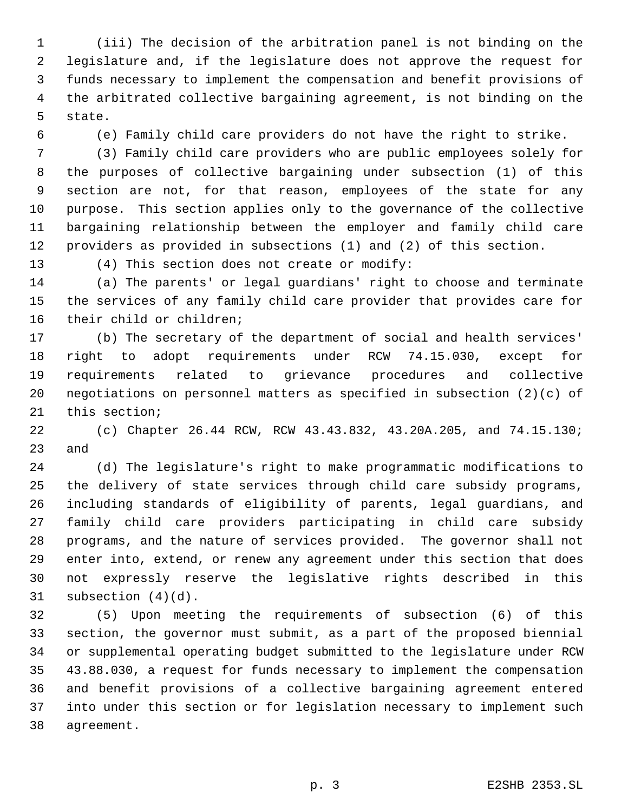(iii) The decision of the arbitration panel is not binding on the legislature and, if the legislature does not approve the request for funds necessary to implement the compensation and benefit provisions of the arbitrated collective bargaining agreement, is not binding on the state.

(e) Family child care providers do not have the right to strike.

 (3) Family child care providers who are public employees solely for the purposes of collective bargaining under subsection (1) of this section are not, for that reason, employees of the state for any purpose. This section applies only to the governance of the collective bargaining relationship between the employer and family child care providers as provided in subsections (1) and (2) of this section.

(4) This section does not create or modify:

 (a) The parents' or legal guardians' right to choose and terminate the services of any family child care provider that provides care for their child or children;

 (b) The secretary of the department of social and health services' right to adopt requirements under RCW 74.15.030, except for requirements related to grievance procedures and collective negotiations on personnel matters as specified in subsection (2)(c) of this section;

 (c) Chapter 26.44 RCW, RCW 43.43.832, 43.20A.205, and 74.15.130; and

 (d) The legislature's right to make programmatic modifications to the delivery of state services through child care subsidy programs, including standards of eligibility of parents, legal guardians, and family child care providers participating in child care subsidy programs, and the nature of services provided. The governor shall not enter into, extend, or renew any agreement under this section that does not expressly reserve the legislative rights described in this subsection (4)(d).

 (5) Upon meeting the requirements of subsection (6) of this section, the governor must submit, as a part of the proposed biennial or supplemental operating budget submitted to the legislature under RCW 43.88.030, a request for funds necessary to implement the compensation and benefit provisions of a collective bargaining agreement entered into under this section or for legislation necessary to implement such agreement.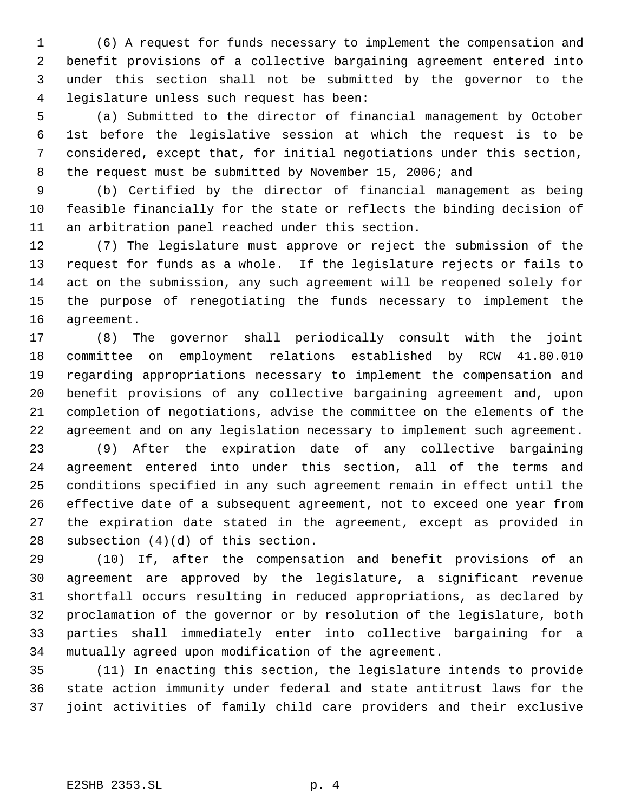(6) A request for funds necessary to implement the compensation and benefit provisions of a collective bargaining agreement entered into under this section shall not be submitted by the governor to the legislature unless such request has been:

 (a) Submitted to the director of financial management by October 1st before the legislative session at which the request is to be considered, except that, for initial negotiations under this section, the request must be submitted by November 15, 2006; and

 (b) Certified by the director of financial management as being feasible financially for the state or reflects the binding decision of an arbitration panel reached under this section.

 (7) The legislature must approve or reject the submission of the request for funds as a whole. If the legislature rejects or fails to act on the submission, any such agreement will be reopened solely for the purpose of renegotiating the funds necessary to implement the agreement.

 (8) The governor shall periodically consult with the joint committee on employment relations established by RCW 41.80.010 regarding appropriations necessary to implement the compensation and benefit provisions of any collective bargaining agreement and, upon completion of negotiations, advise the committee on the elements of the agreement and on any legislation necessary to implement such agreement.

 (9) After the expiration date of any collective bargaining agreement entered into under this section, all of the terms and conditions specified in any such agreement remain in effect until the effective date of a subsequent agreement, not to exceed one year from the expiration date stated in the agreement, except as provided in subsection (4)(d) of this section.

 (10) If, after the compensation and benefit provisions of an agreement are approved by the legislature, a significant revenue shortfall occurs resulting in reduced appropriations, as declared by proclamation of the governor or by resolution of the legislature, both parties shall immediately enter into collective bargaining for a mutually agreed upon modification of the agreement.

 (11) In enacting this section, the legislature intends to provide state action immunity under federal and state antitrust laws for the joint activities of family child care providers and their exclusive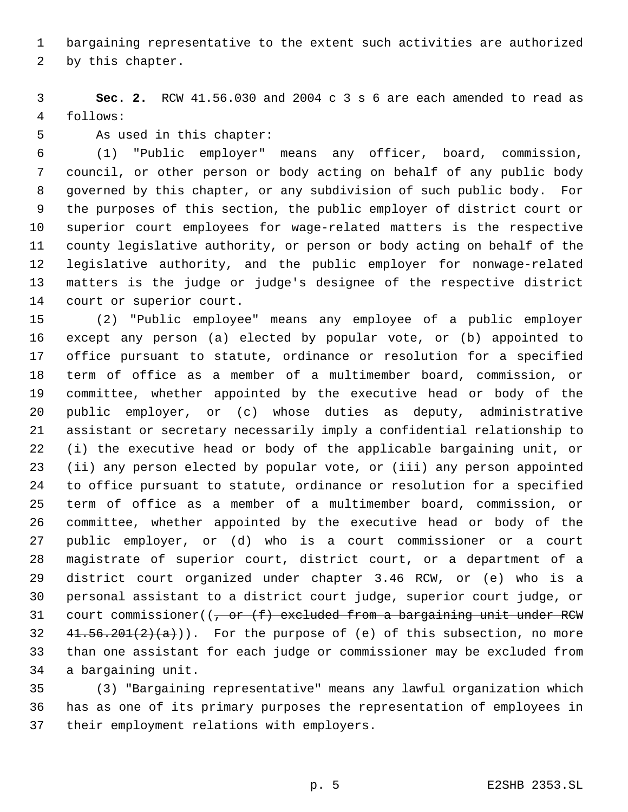bargaining representative to the extent such activities are authorized

by this chapter.

 **Sec. 2.** RCW 41.56.030 and 2004 c 3 s 6 are each amended to read as follows:

As used in this chapter:

 (1) "Public employer" means any officer, board, commission, council, or other person or body acting on behalf of any public body governed by this chapter, or any subdivision of such public body. For the purposes of this section, the public employer of district court or superior court employees for wage-related matters is the respective county legislative authority, or person or body acting on behalf of the legislative authority, and the public employer for nonwage-related matters is the judge or judge's designee of the respective district court or superior court.

 (2) "Public employee" means any employee of a public employer except any person (a) elected by popular vote, or (b) appointed to office pursuant to statute, ordinance or resolution for a specified term of office as a member of a multimember board, commission, or committee, whether appointed by the executive head or body of the public employer, or (c) whose duties as deputy, administrative assistant or secretary necessarily imply a confidential relationship to (i) the executive head or body of the applicable bargaining unit, or (ii) any person elected by popular vote, or (iii) any person appointed to office pursuant to statute, ordinance or resolution for a specified term of office as a member of a multimember board, commission, or committee, whether appointed by the executive head or body of the public employer, or (d) who is a court commissioner or a court magistrate of superior court, district court, or a department of a district court organized under chapter 3.46 RCW, or (e) who is a personal assistant to a district court judge, superior court judge, or 31 court commissioner( $(-, or (f)$  excluded from a bargaining unit under RCW  $41.56.201(2)(a))$ . For the purpose of (e) of this subsection, no more than one assistant for each judge or commissioner may be excluded from a bargaining unit.

 (3) "Bargaining representative" means any lawful organization which has as one of its primary purposes the representation of employees in their employment relations with employers.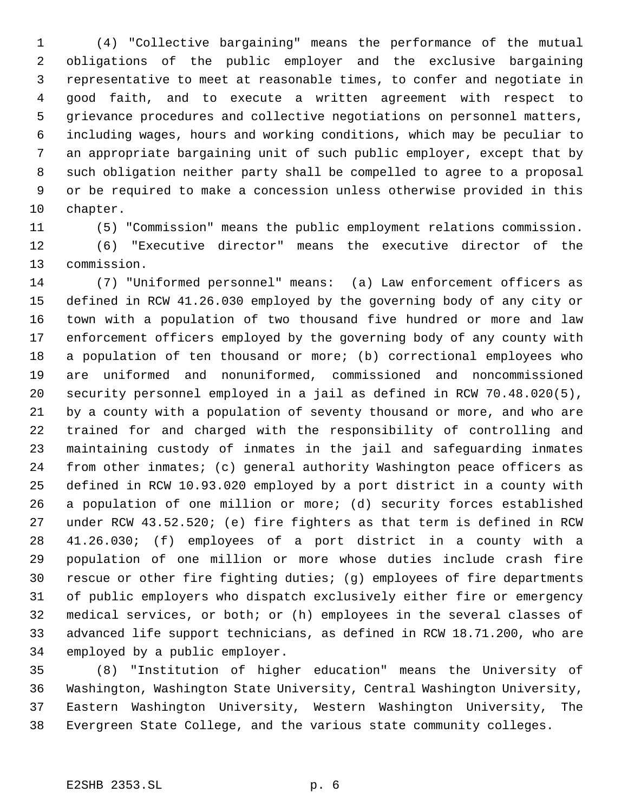(4) "Collective bargaining" means the performance of the mutual obligations of the public employer and the exclusive bargaining representative to meet at reasonable times, to confer and negotiate in good faith, and to execute a written agreement with respect to grievance procedures and collective negotiations on personnel matters, including wages, hours and working conditions, which may be peculiar to an appropriate bargaining unit of such public employer, except that by such obligation neither party shall be compelled to agree to a proposal or be required to make a concession unless otherwise provided in this chapter.

(5) "Commission" means the public employment relations commission.

 (6) "Executive director" means the executive director of the commission.

 (7) "Uniformed personnel" means: (a) Law enforcement officers as defined in RCW 41.26.030 employed by the governing body of any city or town with a population of two thousand five hundred or more and law enforcement officers employed by the governing body of any county with a population of ten thousand or more; (b) correctional employees who are uniformed and nonuniformed, commissioned and noncommissioned security personnel employed in a jail as defined in RCW 70.48.020(5), by a county with a population of seventy thousand or more, and who are trained for and charged with the responsibility of controlling and maintaining custody of inmates in the jail and safeguarding inmates from other inmates; (c) general authority Washington peace officers as defined in RCW 10.93.020 employed by a port district in a county with a population of one million or more; (d) security forces established under RCW 43.52.520; (e) fire fighters as that term is defined in RCW 41.26.030; (f) employees of a port district in a county with a population of one million or more whose duties include crash fire rescue or other fire fighting duties; (g) employees of fire departments of public employers who dispatch exclusively either fire or emergency medical services, or both; or (h) employees in the several classes of advanced life support technicians, as defined in RCW 18.71.200, who are employed by a public employer.

 (8) "Institution of higher education" means the University of Washington, Washington State University, Central Washington University, Eastern Washington University, Western Washington University, The Evergreen State College, and the various state community colleges.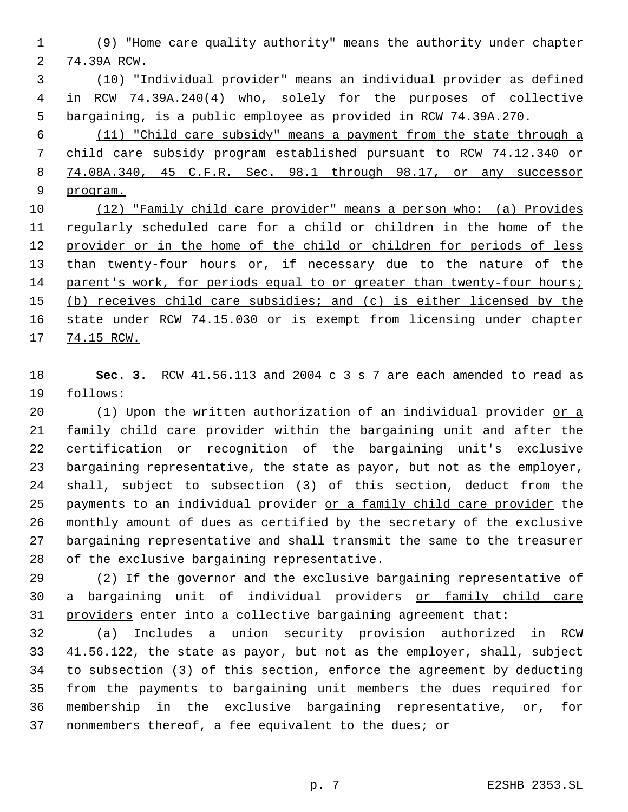(9) "Home care quality authority" means the authority under chapter 74.39A RCW.

 (10) "Individual provider" means an individual provider as defined in RCW 74.39A.240(4) who, solely for the purposes of collective bargaining, is a public employee as provided in RCW 74.39A.270.

 (11) "Child care subsidy" means a payment from the state through a child care subsidy program established pursuant to RCW 74.12.340 or 74.08A.340, 45 C.F.R. Sec. 98.1 through 98.17, or any successor program.

 (12) "Family child care provider" means a person who: (a) Provides regularly scheduled care for a child or children in the home of the 12 provider or in the home of the child or children for periods of less 13 than twenty-four hours or, if necessary due to the nature of the 14 parent's work, for periods equal to or greater than twenty-four hours; (b) receives child care subsidies; and (c) is either licensed by the state under RCW 74.15.030 or is exempt from licensing under chapter 74.15 RCW.

 **Sec. 3.** RCW 41.56.113 and 2004 c 3 s 7 are each amended to read as follows:

 (1) Upon the written authorization of an individual provider or a 21 family child care provider within the bargaining unit and after the certification or recognition of the bargaining unit's exclusive bargaining representative, the state as payor, but not as the employer, shall, subject to subsection (3) of this section, deduct from the 25 payments to an individual provider or a family child care provider the monthly amount of dues as certified by the secretary of the exclusive bargaining representative and shall transmit the same to the treasurer of the exclusive bargaining representative.

 (2) If the governor and the exclusive bargaining representative of a bargaining unit of individual providers or family child care 31 providers enter into a collective bargaining agreement that:

 (a) Includes a union security provision authorized in RCW 41.56.122, the state as payor, but not as the employer, shall, subject to subsection (3) of this section, enforce the agreement by deducting from the payments to bargaining unit members the dues required for membership in the exclusive bargaining representative, or, for nonmembers thereof, a fee equivalent to the dues; or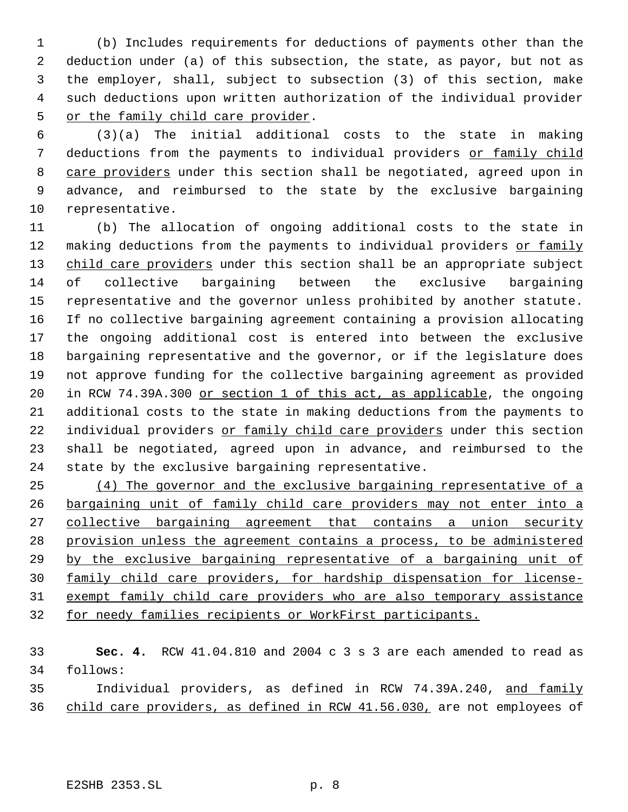(b) Includes requirements for deductions of payments other than the deduction under (a) of this subsection, the state, as payor, but not as the employer, shall, subject to subsection (3) of this section, make such deductions upon written authorization of the individual provider or the family child care provider.

 (3)(a) The initial additional costs to the state in making 7 deductions from the payments to individual providers or family child 8 care providers under this section shall be negotiated, agreed upon in advance, and reimbursed to the state by the exclusive bargaining representative.

 (b) The allocation of ongoing additional costs to the state in 12 making deductions from the payments to individual providers or family 13 child care providers under this section shall be an appropriate subject of collective bargaining between the exclusive bargaining representative and the governor unless prohibited by another statute. If no collective bargaining agreement containing a provision allocating the ongoing additional cost is entered into between the exclusive bargaining representative and the governor, or if the legislature does not approve funding for the collective bargaining agreement as provided in RCW 74.39A.300 or section 1 of this act, as applicable, the ongoing additional costs to the state in making deductions from the payments to 22 individual providers or family child care providers under this section shall be negotiated, agreed upon in advance, and reimbursed to the state by the exclusive bargaining representative.

 (4) The governor and the exclusive bargaining representative of a bargaining unit of family child care providers may not enter into a collective bargaining agreement that contains a union security provision unless the agreement contains a process, to be administered by the exclusive bargaining representative of a bargaining unit of family child care providers, for hardship dispensation for license- exempt family child care providers who are also temporary assistance for needy families recipients or WorkFirst participants.

 **Sec. 4.** RCW 41.04.810 and 2004 c 3 s 3 are each amended to read as follows: Individual providers, as defined in RCW 74.39A.240, and family

36 child care providers, as defined in RCW 41.56.030, are not employees of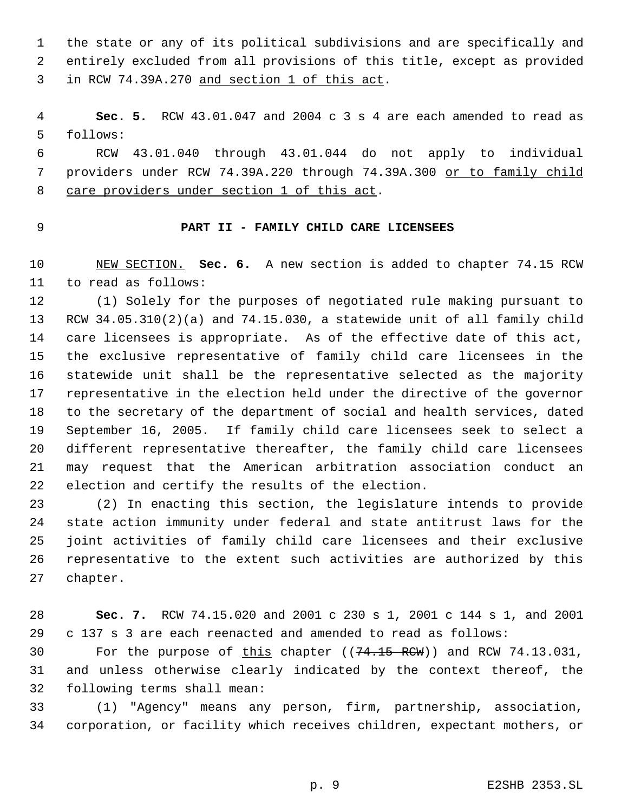the state or any of its political subdivisions and are specifically and entirely excluded from all provisions of this title, except as provided in RCW 74.39A.270 and section 1 of this act.

 **Sec. 5.** RCW 43.01.047 and 2004 c 3 s 4 are each amended to read as follows:

 RCW 43.01.040 through 43.01.044 do not apply to individual providers under RCW 74.39A.220 through 74.39A.300 or to family child 8 care providers under section 1 of this act.

## **PART II - FAMILY CHILD CARE LICENSEES**

 NEW SECTION. **Sec. 6.** A new section is added to chapter 74.15 RCW to read as follows:

 (1) Solely for the purposes of negotiated rule making pursuant to RCW 34.05.310(2)(a) and 74.15.030, a statewide unit of all family child care licensees is appropriate. As of the effective date of this act, the exclusive representative of family child care licensees in the statewide unit shall be the representative selected as the majority representative in the election held under the directive of the governor to the secretary of the department of social and health services, dated September 16, 2005. If family child care licensees seek to select a different representative thereafter, the family child care licensees may request that the American arbitration association conduct an election and certify the results of the election.

 (2) In enacting this section, the legislature intends to provide state action immunity under federal and state antitrust laws for the joint activities of family child care licensees and their exclusive representative to the extent such activities are authorized by this chapter.

 **Sec. 7.** RCW 74.15.020 and 2001 c 230 s 1, 2001 c 144 s 1, and 2001 c 137 s 3 are each reenacted and amended to read as follows:

30 For the purpose of this chapter  $((74.15 \text{ RCW}))$  and RCW 74.13.031, and unless otherwise clearly indicated by the context thereof, the following terms shall mean:

 (1) "Agency" means any person, firm, partnership, association, corporation, or facility which receives children, expectant mothers, or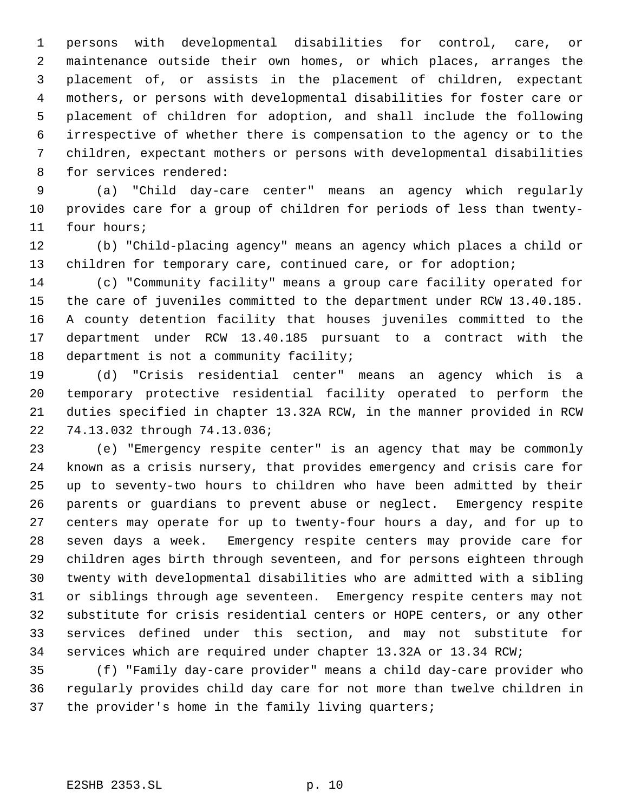persons with developmental disabilities for control, care, or maintenance outside their own homes, or which places, arranges the placement of, or assists in the placement of children, expectant mothers, or persons with developmental disabilities for foster care or placement of children for adoption, and shall include the following irrespective of whether there is compensation to the agency or to the children, expectant mothers or persons with developmental disabilities for services rendered:

 (a) "Child day-care center" means an agency which regularly provides care for a group of children for periods of less than twenty-four hours;

 (b) "Child-placing agency" means an agency which places a child or children for temporary care, continued care, or for adoption;

 (c) "Community facility" means a group care facility operated for the care of juveniles committed to the department under RCW 13.40.185. A county detention facility that houses juveniles committed to the department under RCW 13.40.185 pursuant to a contract with the 18 department is not a community facility;

 (d) "Crisis residential center" means an agency which is a temporary protective residential facility operated to perform the duties specified in chapter 13.32A RCW, in the manner provided in RCW 74.13.032 through 74.13.036;

 (e) "Emergency respite center" is an agency that may be commonly known as a crisis nursery, that provides emergency and crisis care for up to seventy-two hours to children who have been admitted by their parents or guardians to prevent abuse or neglect. Emergency respite centers may operate for up to twenty-four hours a day, and for up to seven days a week. Emergency respite centers may provide care for children ages birth through seventeen, and for persons eighteen through twenty with developmental disabilities who are admitted with a sibling or siblings through age seventeen. Emergency respite centers may not substitute for crisis residential centers or HOPE centers, or any other services defined under this section, and may not substitute for services which are required under chapter 13.32A or 13.34 RCW;

 (f) "Family day-care provider" means a child day-care provider who regularly provides child day care for not more than twelve children in the provider's home in the family living quarters;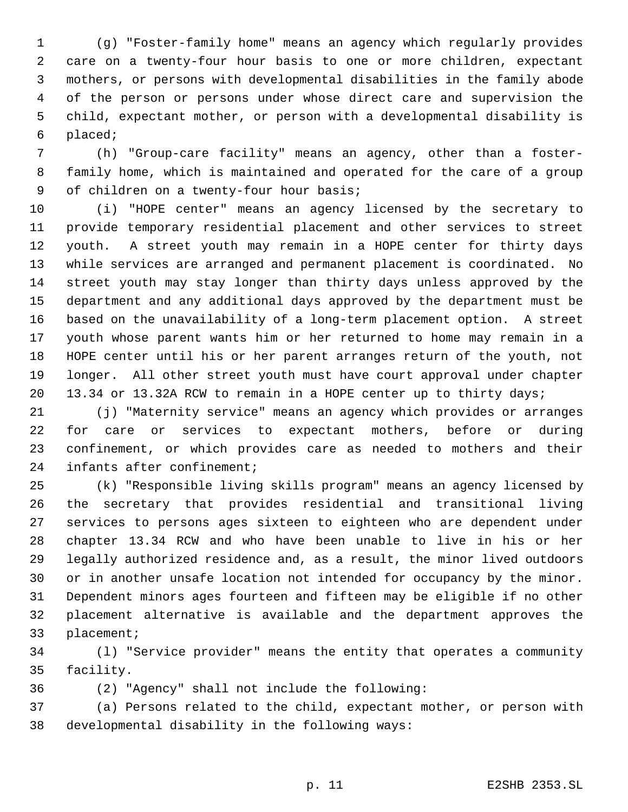(g) "Foster-family home" means an agency which regularly provides care on a twenty-four hour basis to one or more children, expectant mothers, or persons with developmental disabilities in the family abode of the person or persons under whose direct care and supervision the child, expectant mother, or person with a developmental disability is placed;

 (h) "Group-care facility" means an agency, other than a foster- family home, which is maintained and operated for the care of a group 9 of children on a twenty-four hour basis;

 (i) "HOPE center" means an agency licensed by the secretary to provide temporary residential placement and other services to street youth. A street youth may remain in a HOPE center for thirty days while services are arranged and permanent placement is coordinated. No street youth may stay longer than thirty days unless approved by the department and any additional days approved by the department must be based on the unavailability of a long-term placement option. A street youth whose parent wants him or her returned to home may remain in a HOPE center until his or her parent arranges return of the youth, not longer. All other street youth must have court approval under chapter 13.34 or 13.32A RCW to remain in a HOPE center up to thirty days;

 (j) "Maternity service" means an agency which provides or arranges for care or services to expectant mothers, before or during confinement, or which provides care as needed to mothers and their infants after confinement;

 (k) "Responsible living skills program" means an agency licensed by the secretary that provides residential and transitional living services to persons ages sixteen to eighteen who are dependent under chapter 13.34 RCW and who have been unable to live in his or her legally authorized residence and, as a result, the minor lived outdoors or in another unsafe location not intended for occupancy by the minor. Dependent minors ages fourteen and fifteen may be eligible if no other placement alternative is available and the department approves the placement;

 (l) "Service provider" means the entity that operates a community facility.

(2) "Agency" shall not include the following:

 (a) Persons related to the child, expectant mother, or person with developmental disability in the following ways: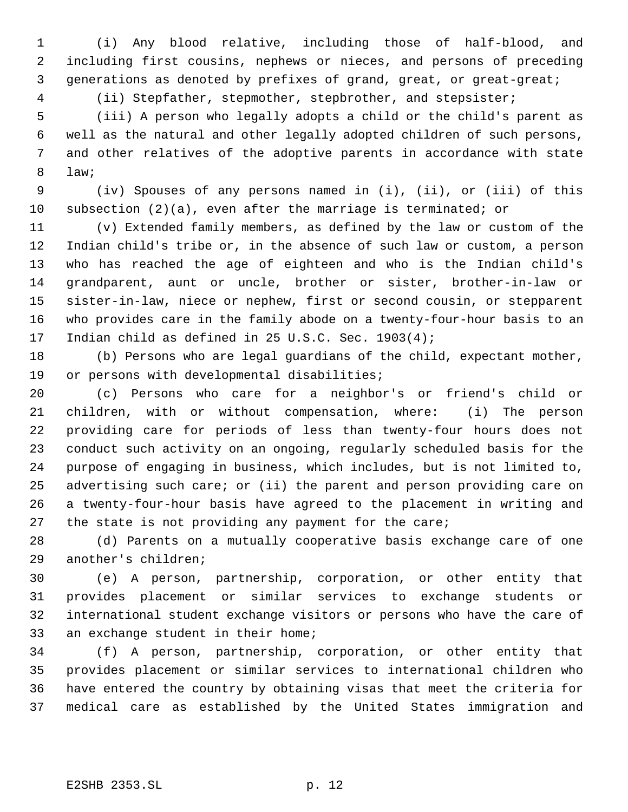(i) Any blood relative, including those of half-blood, and including first cousins, nephews or nieces, and persons of preceding generations as denoted by prefixes of grand, great, or great-great;

(ii) Stepfather, stepmother, stepbrother, and stepsister;

 (iii) A person who legally adopts a child or the child's parent as well as the natural and other legally adopted children of such persons, and other relatives of the adoptive parents in accordance with state law;

 (iv) Spouses of any persons named in (i), (ii), or (iii) of this subsection (2)(a), even after the marriage is terminated; or

 (v) Extended family members, as defined by the law or custom of the Indian child's tribe or, in the absence of such law or custom, a person who has reached the age of eighteen and who is the Indian child's grandparent, aunt or uncle, brother or sister, brother-in-law or sister-in-law, niece or nephew, first or second cousin, or stepparent who provides care in the family abode on a twenty-four-hour basis to an Indian child as defined in 25 U.S.C. Sec. 1903(4);

 (b) Persons who are legal guardians of the child, expectant mother, or persons with developmental disabilities;

 (c) Persons who care for a neighbor's or friend's child or children, with or without compensation, where: (i) The person providing care for periods of less than twenty-four hours does not conduct such activity on an ongoing, regularly scheduled basis for the purpose of engaging in business, which includes, but is not limited to, advertising such care; or (ii) the parent and person providing care on a twenty-four-hour basis have agreed to the placement in writing and the state is not providing any payment for the care;

 (d) Parents on a mutually cooperative basis exchange care of one another's children;

 (e) A person, partnership, corporation, or other entity that provides placement or similar services to exchange students or international student exchange visitors or persons who have the care of an exchange student in their home;

 (f) A person, partnership, corporation, or other entity that provides placement or similar services to international children who have entered the country by obtaining visas that meet the criteria for medical care as established by the United States immigration and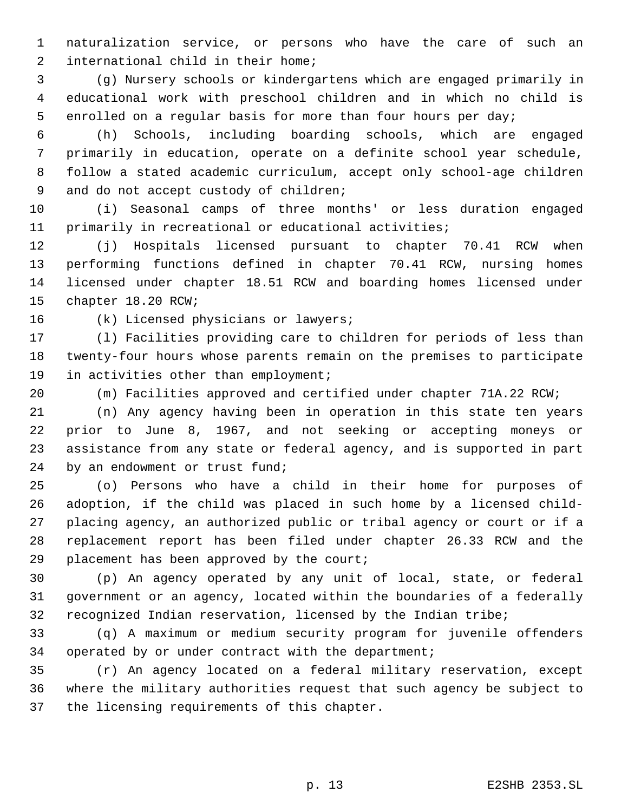naturalization service, or persons who have the care of such an international child in their home;

 (g) Nursery schools or kindergartens which are engaged primarily in educational work with preschool children and in which no child is enrolled on a regular basis for more than four hours per day;

 (h) Schools, including boarding schools, which are engaged primarily in education, operate on a definite school year schedule, follow a stated academic curriculum, accept only school-age children 9 and do not accept custody of children;

 (i) Seasonal camps of three months' or less duration engaged primarily in recreational or educational activities;

 (j) Hospitals licensed pursuant to chapter 70.41 RCW when performing functions defined in chapter 70.41 RCW, nursing homes licensed under chapter 18.51 RCW and boarding homes licensed under chapter 18.20 RCW;

(k) Licensed physicians or lawyers;

 (l) Facilities providing care to children for periods of less than twenty-four hours whose parents remain on the premises to participate 19 in activities other than employment;

(m) Facilities approved and certified under chapter 71A.22 RCW;

 (n) Any agency having been in operation in this state ten years prior to June 8, 1967, and not seeking or accepting moneys or assistance from any state or federal agency, and is supported in part by an endowment or trust fund;

 (o) Persons who have a child in their home for purposes of adoption, if the child was placed in such home by a licensed child- placing agency, an authorized public or tribal agency or court or if a replacement report has been filed under chapter 26.33 RCW and the 29 placement has been approved by the court;

 (p) An agency operated by any unit of local, state, or federal government or an agency, located within the boundaries of a federally recognized Indian reservation, licensed by the Indian tribe;

 (q) A maximum or medium security program for juvenile offenders operated by or under contract with the department;

 (r) An agency located on a federal military reservation, except where the military authorities request that such agency be subject to the licensing requirements of this chapter.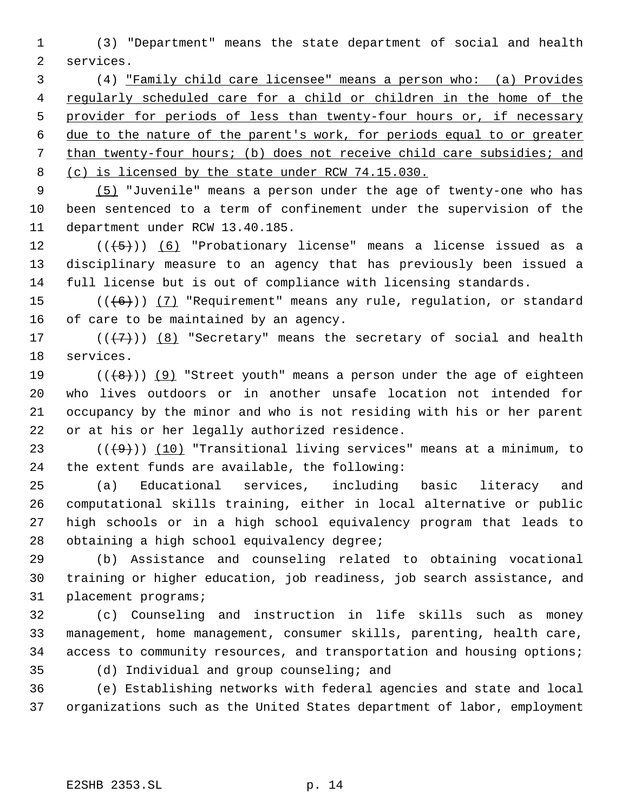(3) "Department" means the state department of social and health services.

 (4) "Family child care licensee" means a person who: (a) Provides regularly scheduled care for a child or children in the home of the 5 provider for periods of less than twenty-four hours or, if necessary due to the nature of the parent's work, for periods equal to or greater than twenty-four hours; (b) does not receive child care subsidies; and 8 (c) is licensed by the state under RCW 74.15.030.

 (5) "Juvenile" means a person under the age of twenty-one who has been sentenced to a term of confinement under the supervision of the department under RCW 13.40.185.

 $((\langle 5 \rangle) )$  (6) "Probationary license" means a license issued as a disciplinary measure to an agency that has previously been issued a full license but is out of compliance with licensing standards.

15  $((+6))$   $(7)$  "Requirement" means any rule, regulation, or standard of care to be maintained by an agency.

17  $((+7)^{n})$   $(8)$  "Secretary" means the secretary of social and health services.

 $((+8))$  (9) "Street youth" means a person under the age of eighteen who lives outdoors or in another unsafe location not intended for occupancy by the minor and who is not residing with his or her parent or at his or her legally authorized residence.

23 ( $(\overline{+9})$ ) (10) "Transitional living services" means at a minimum, to the extent funds are available, the following:

 (a) Educational services, including basic literacy and computational skills training, either in local alternative or public high schools or in a high school equivalency program that leads to obtaining a high school equivalency degree;

 (b) Assistance and counseling related to obtaining vocational training or higher education, job readiness, job search assistance, and placement programs;

 (c) Counseling and instruction in life skills such as money management, home management, consumer skills, parenting, health care, access to community resources, and transportation and housing options;

(d) Individual and group counseling; and

 (e) Establishing networks with federal agencies and state and local organizations such as the United States department of labor, employment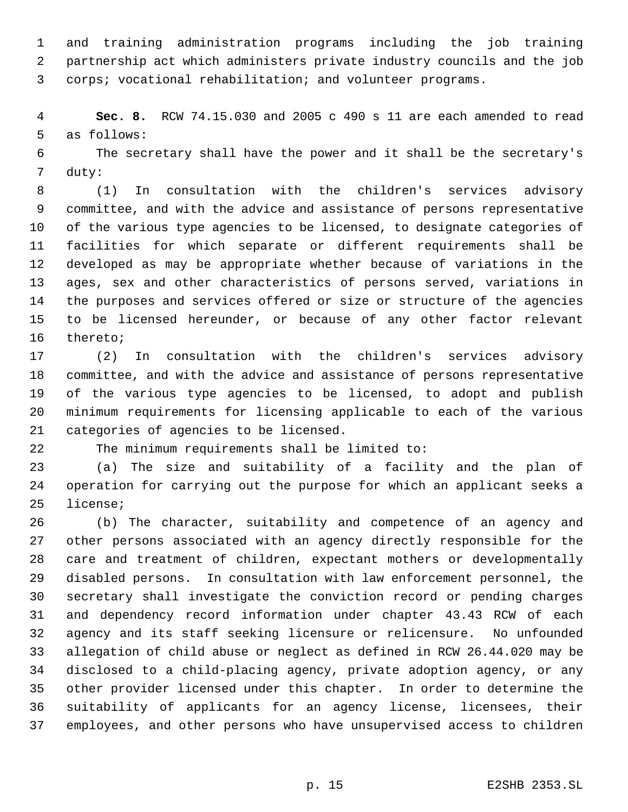and training administration programs including the job training partnership act which administers private industry councils and the job corps; vocational rehabilitation; and volunteer programs.

 **Sec. 8.** RCW 74.15.030 and 2005 c 490 s 11 are each amended to read as follows:

 The secretary shall have the power and it shall be the secretary's duty:

 (1) In consultation with the children's services advisory committee, and with the advice and assistance of persons representative of the various type agencies to be licensed, to designate categories of facilities for which separate or different requirements shall be developed as may be appropriate whether because of variations in the ages, sex and other characteristics of persons served, variations in the purposes and services offered or size or structure of the agencies to be licensed hereunder, or because of any other factor relevant thereto;

 (2) In consultation with the children's services advisory committee, and with the advice and assistance of persons representative of the various type agencies to be licensed, to adopt and publish minimum requirements for licensing applicable to each of the various categories of agencies to be licensed.

The minimum requirements shall be limited to:

 (a) The size and suitability of a facility and the plan of operation for carrying out the purpose for which an applicant seeks a license;

 (b) The character, suitability and competence of an agency and other persons associated with an agency directly responsible for the care and treatment of children, expectant mothers or developmentally disabled persons. In consultation with law enforcement personnel, the secretary shall investigate the conviction record or pending charges and dependency record information under chapter 43.43 RCW of each agency and its staff seeking licensure or relicensure. No unfounded allegation of child abuse or neglect as defined in RCW 26.44.020 may be disclosed to a child-placing agency, private adoption agency, or any other provider licensed under this chapter. In order to determine the 36 suitability of applicants for an agency license, licensees, their employees, and other persons who have unsupervised access to children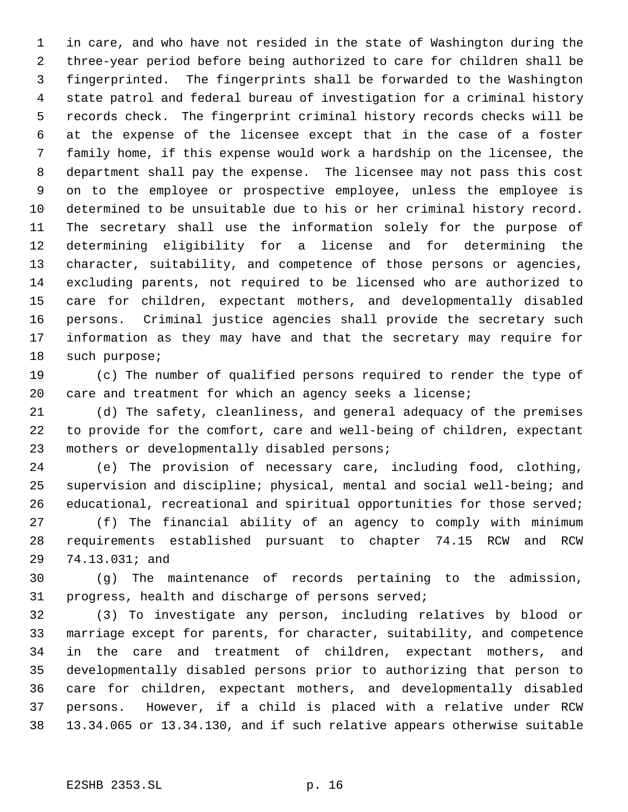in care, and who have not resided in the state of Washington during the three-year period before being authorized to care for children shall be fingerprinted. The fingerprints shall be forwarded to the Washington state patrol and federal bureau of investigation for a criminal history records check. The fingerprint criminal history records checks will be at the expense of the licensee except that in the case of a foster family home, if this expense would work a hardship on the licensee, the department shall pay the expense. The licensee may not pass this cost on to the employee or prospective employee, unless the employee is determined to be unsuitable due to his or her criminal history record. The secretary shall use the information solely for the purpose of determining eligibility for a license and for determining the character, suitability, and competence of those persons or agencies, excluding parents, not required to be licensed who are authorized to care for children, expectant mothers, and developmentally disabled persons. Criminal justice agencies shall provide the secretary such information as they may have and that the secretary may require for such purpose;

 (c) The number of qualified persons required to render the type of care and treatment for which an agency seeks a license;

 (d) The safety, cleanliness, and general adequacy of the premises to provide for the comfort, care and well-being of children, expectant mothers or developmentally disabled persons;

 (e) The provision of necessary care, including food, clothing, supervision and discipline; physical, mental and social well-being; and 26 educational, recreational and spiritual opportunities for those served; (f) The financial ability of an agency to comply with minimum requirements established pursuant to chapter 74.15 RCW and RCW

74.13.031; and

 (g) The maintenance of records pertaining to the admission, progress, health and discharge of persons served;

 (3) To investigate any person, including relatives by blood or marriage except for parents, for character, suitability, and competence in the care and treatment of children, expectant mothers, and developmentally disabled persons prior to authorizing that person to care for children, expectant mothers, and developmentally disabled persons. However, if a child is placed with a relative under RCW 13.34.065 or 13.34.130, and if such relative appears otherwise suitable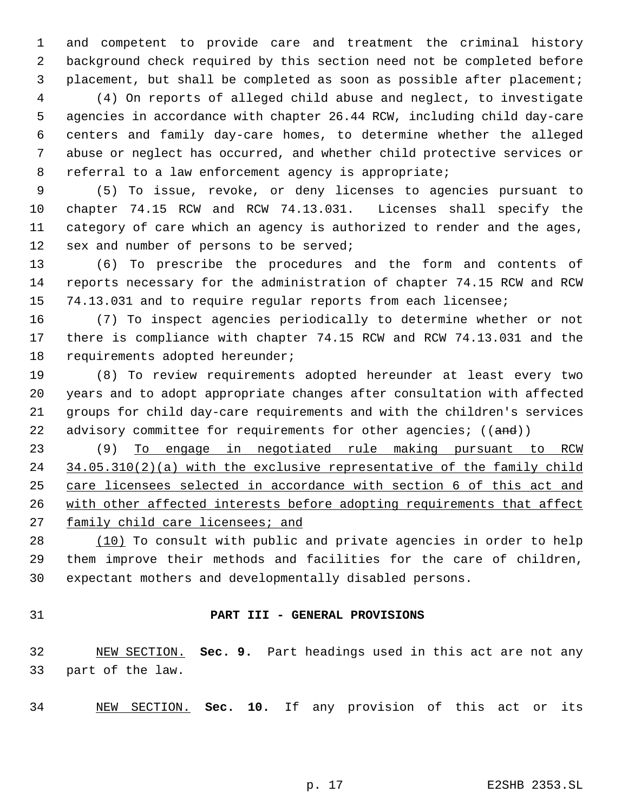and competent to provide care and treatment the criminal history background check required by this section need not be completed before placement, but shall be completed as soon as possible after placement;

 (4) On reports of alleged child abuse and neglect, to investigate agencies in accordance with chapter 26.44 RCW, including child day-care centers and family day-care homes, to determine whether the alleged abuse or neglect has occurred, and whether child protective services or referral to a law enforcement agency is appropriate;

 (5) To issue, revoke, or deny licenses to agencies pursuant to chapter 74.15 RCW and RCW 74.13.031. Licenses shall specify the category of care which an agency is authorized to render and the ages, 12 sex and number of persons to be served;

 (6) To prescribe the procedures and the form and contents of reports necessary for the administration of chapter 74.15 RCW and RCW 74.13.031 and to require regular reports from each licensee;

 (7) To inspect agencies periodically to determine whether or not there is compliance with chapter 74.15 RCW and RCW 74.13.031 and the requirements adopted hereunder;

 (8) To review requirements adopted hereunder at least every two years and to adopt appropriate changes after consultation with affected groups for child day-care requirements and with the children's services 22 advisory committee for requirements for other agencies;  $((and))$ 

 (9) To engage in negotiated rule making pursuant to RCW 34.05.310(2)(a) with the exclusive representative of the family child care licensees selected in accordance with section 6 of this act and 26 with other affected interests before adopting requirements that affect family child care licensees; and

28 (10) To consult with public and private agencies in order to help them improve their methods and facilities for the care of children, expectant mothers and developmentally disabled persons.

# **PART III - GENERAL PROVISIONS**

 NEW SECTION. **Sec. 9.** Part headings used in this act are not any part of the law.

NEW SECTION. **Sec. 10.** If any provision of this act or its